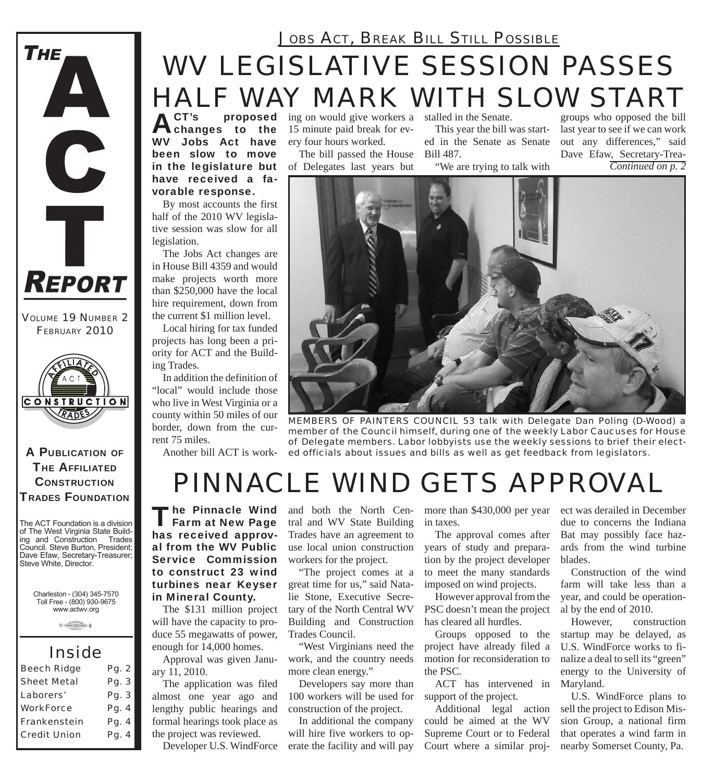## *WV LEGISLATIVE SESSION PASSES HALF WAY MARK WITH SLOW START JOBS ACT, BREAK BILL STILL POSSIBLE*

ACT's proposed<br>
changes to the WV Jobs Act have been slow to move in the legislature but have received a favorable response.

By most accounts the first half of the 2010 WV legislative session was slow for all legislation.

The Jobs Act changes are in House Bill 4359 and would make projects worth more than \$250,000 have the local hire requirement, down from the current \$1 million level.

Local hiring for tax funded projects has long been a priority for ACT and the Building Trades.

In addition the definition of "local" would include those who live in West Virginia or a county within 50 miles of our border, down from the current 75 miles.

**proposed** ing on would give workers a 15 minute paid break for every four hours worked.

The bill passed the House of Delegates last years but stalled in the Senate.

This year the bill was started in the Senate as Senate Bill 487.

"We are trying to talk with

groups who opposed the bill last year to see if we can work out any differences," said Dave Efaw, Secretary-Trea-*Continued on p. 2*



Another bill ACT is work-*ed officials about issues and bills as well as get feedback from legislators. MEMBERS OF PAINTERS COUNCIL 53 talk with Delegate Dan Poling (D-Wood) a member of the Council himself, during one of the weekly Labor Caucuses for House of Delegate members. Labor lobbyists use the weekly sessions to brief their elect-*

# *PINNACLE WIND GETS APPROVAL*

The Pinnacle Wind<br>
Farm at New Page has received approval from the WV Public Service Commission to construct 23 wind turbines near Keyser in Mineral County.

The \$131 million project will have the capacity to produce 55 megawatts of power, enough for 14,000 homes.

Approval was given January 11, 2010.

The application was filed almost one year ago and lengthy public hearings and formal hearings took place as the project was reviewed.

Developer U.S. WindForce

tral and WV State Building Trades have an agreement to use local union construction workers for the project.

"The project comes at a great time for us," said Natalie Stone, Executive Secretary of the North Central WV Building and Construction Trades Council.

"West Virginians need the work, and the country needs more clean energy."

Developers say more than 100 workers will be used for construction of the project.

In additional the company will hire five workers to operate the facility and will pay

and both the North Cen-more than \$430,000 per year in taxes.

> The approval comes after years of study and preparation by the project developer to meet the many standards imposed on wind projects.

> However approval from the PSC doesn't mean the project has cleared all hurdles.

Groups opposed to the project have already filed a motion for reconsideration to the PSC.

ACT has intervened in Maryland. support of the project.

Additional legal action could be aimed at the WV Supreme Court or to Federal Court where a similar project was derailed in December due to concerns the Indiana Bat may possibly face hazards from the wind turbine blades.

Construction of the wind farm will take less than a year, and could be operational by the end of 2010.

However, construction startup may be delayed, as U.S. WindForce works to finalize a deal to sell its "green" energy to the University of

U.S. WindForce plans to sell the project to Edison Mission Group, a national firm that operates a wind farm in nearby Somerset County, Pa.

*VOLUME 19 NUMBER 2 FEBRUARY 2010*

REPORT

THE

A

T

A PUBLICATION OF **THE AFFILIATED CONSTRUCTION** TRADES FOUNDATION

The ACT Foundation is a division of The West Virginia State Building and Construction Trades Council. Steve Burton, President; Dave Efaw, Secretary-Treasurer; Steve White, Director.

Charleston - (304) 345-7570 Toll Free - (800) 930-9675 www.actwv.org



### *Inside*

| <b>Beech Ridge</b>  | Pg. 2 |
|---------------------|-------|
| <b>Sheet Metal</b>  | Pg. 3 |
| Laborers'           | Pg. 3 |
| <b>WorkForce</b>    | Pg. 4 |
| Frankenstein        | Pg. 4 |
| <b>Credit Union</b> | Pg. 4 |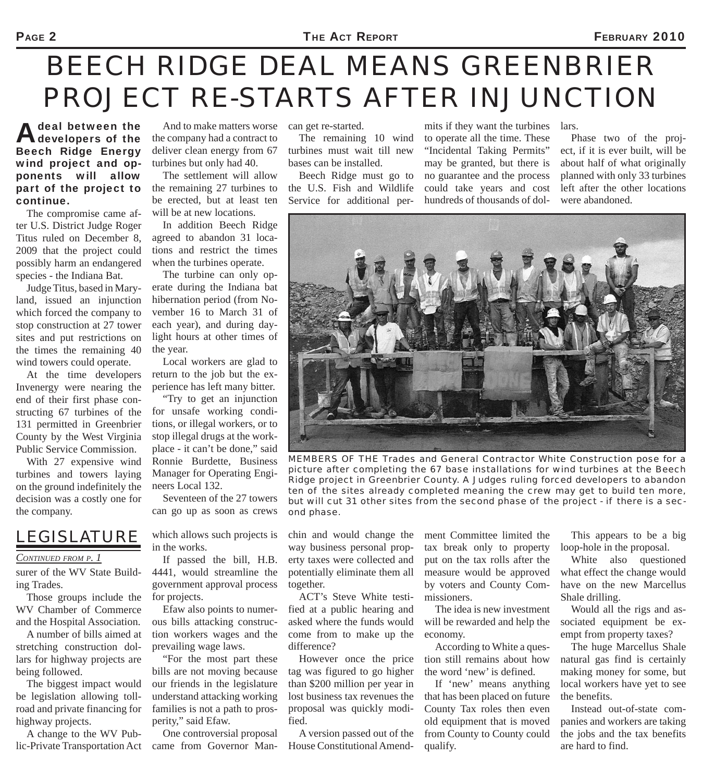#### PAGE 2 **FIRM ACT REPORT EXAMPLE 2010**

# *BEECH RIDGE DEAL MEANS GREENBRIER PROJECT RE-STARTS AFTER INJUNCTION*

**A** deal between the<br>developers of the Beech Ridge Energy wind project and opponents will allow part of the project to continue.

The compromise came after U.S. District Judge Roger Titus ruled on December 8, 2009 that the project could possibly harm an endangered species - the Indiana Bat.

Judge Titus, based in Maryland, issued an injunction which forced the company to stop construction at 27 tower sites and put restrictions on the times the remaining 40 wind towers could operate.

At the time developers Invenergy were nearing the end of their first phase constructing 67 turbines of the 131 permitted in Greenbrier County by the West Virginia Public Service Commission.

With 27 expensive wind turbines and towers laying on the ground indefinitely the decision was a costly one for the company.

### *LEGISLATURE*

#### *CONTINUED FROM P. 1*

surer of the WV State Building Trades.

Those groups include the WV Chamber of Commerce and the Hospital Association.

A number of bills aimed at stretching construction dollars for highway projects are being followed.

The biggest impact would be legislation allowing tollroad and private financing for highway projects.

A change to the WV Public-Private Transportation Act

And to make matters worse the company had a contract to deliver clean energy from 67 turbines but only had 40.

The settlement will allow the remaining 27 turbines to be erected, but at least ten will be at new locations.

In addition Beech Ridge agreed to abandon 31 locations and restrict the times when the turbines operate.

The turbine can only operate during the Indiana bat hibernation period (from November 16 to March 31 of each year), and during daylight hours at other times of the year.

Local workers are glad to return to the job but the experience has left many bitter.

"Try to get an injunction for unsafe working conditions, or illegal workers, or to stop illegal drugs at the workplace - it can't be done," said Ronnie Burdette, Business Manager for Operating Engineers Local 132.

Seventeen of the 27 towers can go up as soon as crews

which allows such projects is in the works.

If passed the bill, H.B. 4441, would streamline the government approval process for projects.

Efaw also points to numerous bills attacking construction workers wages and the prevailing wage laws.

"For the most part these bills are not moving because our friends in the legislature understand attacking working families is not a path to prosperity," said Efaw.

One controversial proposal came from Governor Mancan get re-started.

The remaining 10 wind turbines must wait till new bases can be installed.

Beech Ridge must go to the U.S. Fish and Wildlife Service for additional per-

mits if they want the turbines to operate all the time. These "Incidental Taking Permits" may be granted, but there is no guarantee and the process could take years and cost hundreds of thousands of dol-

Phase two of the project, if it is ever built, will be about half of what originally planned with only 33 turbines left after the other locations were abandoned.

lars.



*MEMBERS OF THE Trades and General Contractor White Construction pose for a picture after completing the 67 base installations for wind turbines at the Beech Ridge project in Greenbrier County. A Judges ruling forced developers to abandon ten of the sites already completed meaning the crew may get to build ten more, but will cut 31 other sites from the second phase of the project - if there is a second phase.*

chin and would change the way business personal property taxes were collected and potentially eliminate them all together.

ACT's Steve White testified at a public hearing and asked where the funds would come from to make up the difference?

However once the price tag was figured to go higher than \$200 million per year in lost business tax revenues the proposal was quickly modified.

A version passed out of the House Constitutional Amendment Committee limited the tax break only to property put on the tax rolls after the measure would be approved by voters and County Commissioners.

The idea is new investment will be rewarded and help the economy.

According to White a question still remains about how the word 'new' is defined.

If 'new' means anything that has been placed on future County Tax roles then even old equipment that is moved from County to County could qualify.

This appears to be a big loop-hole in the proposal.

White also questioned what effect the change would have on the new Marcellus Shale drilling.

Would all the rigs and associated equipment be exempt from property taxes?

The huge Marcellus Shale natural gas find is certainly making money for some, but local workers have yet to see the benefits.

Instead out-of-state companies and workers are taking the jobs and the tax benefits are hard to find.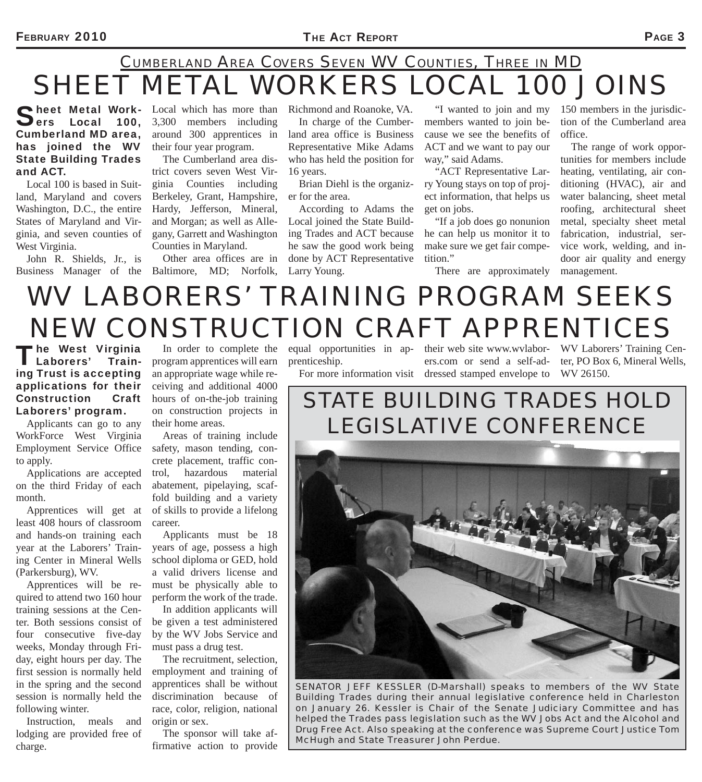## *SHEET METAL WORKERS LOCAL 100 JOINS CUMBERLAND AREA COVERS SEVEN WV COUNTIES, THREE IN MD*

#### Sheet Metal Work-<br>Sers Local 100, Cumberland MD area, has joined the WV State Building Trades and ACT.

Local 100 is based in Suitland, Maryland and covers Washington, D.C., the entire States of Maryland and Virginia, and seven counties of West Virginia.

John R. Shields, Jr., is

Local which has more than 3,300 members including around 300 apprentices in their four year program.

The Cumberland area district covers seven West Virginia Counties including Berkeley, Grant, Hampshire, Hardy, Jefferson, Mineral, and Morgan; as well as Allegany, Garrett and Washington Counties in Maryland.

Business Manager of the Baltimore, MD; Norfolk, Other area offices are in

Richmond and Roanoke, VA.

In charge of the Cumberland area office is Business Representative Mike Adams who has held the position for 16 years.

Brian Diehl is the organizer for the area.

According to Adams the Local joined the State Building Trades and ACT because he saw the good work being done by ACT Representative Larry Young.

members wanted to join because we see the benefits of ACT and we want to pay our way," said Adams.

"ACT Representative Larry Young stays on top of project information, that helps us get on jobs.

"If a job does go nonunion he can help us monitor it to make sure we get fair competition."

"I wanted to join and my 150 members in the jurisdiction of the Cumberland area office.

> The range of work opportunities for members include heating, ventilating, air conditioning (HVAC), air and water balancing, sheet metal roofing, architectural sheet metal, specialty sheet metal fabrication, industrial, service work, welding, and indoor air quality and energy management.

There are approximately

# *WV LABORERS' TRAINING PROGRAM SEEKS NEW CONSTRUCTION CRAFT APPRENTICES*

The West Virginia<br>Laborers' Train-Laborers' ing Trust is accepting applications for their Construction Craft Laborers' program.

Applicants can go to any WorkForce West Virginia Employment Service Office to apply.

Applications are accepted on the third Friday of each month.

Apprentices will get at least 408 hours of classroom and hands-on training each year at the Laborers' Training Center in Mineral Wells (Parkersburg), WV.

Apprentices will be required to attend two 160 hour training sessions at the Center. Both sessions consist of four consecutive five-day weeks, Monday through Friday, eight hours per day. The first session is normally held in the spring and the second session is normally held the following winter.

Instruction, meals and lodging are provided free of charge.

program apprentices will earn an appropriate wage while receiving and additional 4000 hours of on-the-job training on construction projects in their home areas.

Areas of training include safety, mason tending, concrete placement, traffic control, hazardous material abatement, pipelaying, scaffold building and a variety of skills to provide a lifelong career.

Applicants must be 18 years of age, possess a high school diploma or GED, hold a valid drivers license and must be physically able to perform the work of the trade.

In addition applicants will be given a test administered by the WV Jobs Service and must pass a drug test.

The recruitment, selection, employment and training of apprentices shall be without discrimination because of race, color, religion, national origin or sex.

The sponsor will take affirmative action to provide prenticeship.

In order to complete the equal opportunities in ap- their web site www.wvlabor- WV Laborers' Training Cen-For more information visit dressed stamped envelope to WV 26150. ers.com or send a self-ad-

ter, PO Box 6, Mineral Wells,

### *STATE BUILDING TRADES HOLD LEGISLATIVE CONFERENCE*



*SENATOR JEFF KESSLER (D-Marshall) speaks to members of the WV State Building Trades during their annual legislative conference held in Charleston on January 26. Kessler is Chair of the Senate Judiciary Committee and has helped the Trades pass legislation such as the WV Jobs Act and the Alcohol and Drug Free Act. Also speaking at the conference was Supreme Court Justice Tom McHugh and State Treasurer John Perdue.*